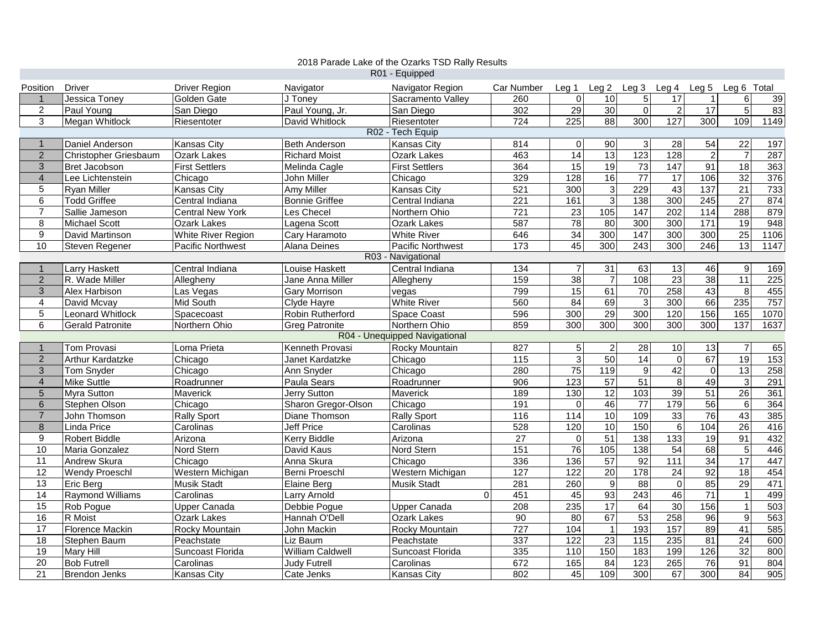|                    |                         |                          |                         | 2018 Parade Lake of the Ozarks TSD Rally Results |                   |                   |                   |                   |                  |                  |                  |      |
|--------------------|-------------------------|--------------------------|-------------------------|--------------------------------------------------|-------------------|-------------------|-------------------|-------------------|------------------|------------------|------------------|------|
|                    |                         |                          |                         | R01 - Equipped                                   |                   |                   |                   |                   |                  |                  |                  |      |
| Position           | <b>Driver</b>           | <b>Driver Region</b>     | Navigator               | Navigator Region                                 | Car Number        | Leq <sub>1</sub>  | Leg <sub>2</sub>  | Leg <sub>3</sub>  | Leg 4            | Leg <sub>5</sub> | Leg 6 Total      |      |
| $\mathbf{1}$       | Jessica Toney           | Golden Gate              | J Tonev                 | Sacramento Valley                                | 260               | $\mathbf 0$       | 10                | $\overline{5}$    | 17               | $\overline{1}$   | 6                | 39   |
| $\boldsymbol{2}$   | Paul Young              | San Diego                | Paul Young, Jr.         | San Diego                                        | 302               | 29                | 30                | $\overline{0}$    | $\overline{2}$   | 17               | 5                | 83   |
| $\mathfrak{S}$     | Megan Whitlock          | Riesentoter              | David Whitlock          | Riesentoter                                      | 724               | $\overline{225}$  | $\overline{88}$   | 300               | 127              | 300              | 109              | 1149 |
|                    |                         |                          |                         | R02 - Tech Equip                                 |                   |                   |                   |                   |                  |                  |                  |      |
| $\mathbf{1}$       | Daniel Anderson         | Kansas Citv              | <b>Beth Anderson</b>    | <b>Kansas City</b>                               | 814               | $\mathbf 0$       | $\overline{90}$   | $\mathbf{3}$      | 28               | 54               | 22               | 197  |
| $\overline{2}$     | Christopher Griesbaum   | Ozark Lakes              | <b>Richard Moist</b>    | Ozark Lakes                                      | 463               | 14                | 13                | 123               | 128              | $\overline{2}$   | $\overline{7}$   | 287  |
| $\mathfrak{S}$     | Bret Jacobson           | <b>First Settlers</b>    | Melinda Cagle           | <b>First Settlers</b>                            | 364               | 15                | 19                | 73                | 147              | 91               | 18               | 363  |
| $\overline{4}$     | Lee Lichtenstein        | Chicago                  | John Miller             | Chicago                                          | 329               | 128               | 16                | $\overline{77}$   | 17               | 106              | $\overline{32}$  | 376  |
| 5                  | <b>Ryan Miller</b>      | Kansas City              | Amy Miller              | Kansas City                                      | 521               | 300               | $\mathsf 3$       | 229               | 43               | 137              | 21               | 733  |
| $\,6\,$            | <b>Todd Griffee</b>     | Central Indiana          | <b>Bonnie Griffee</b>   | Central Indiana                                  | 221               | 161               | $\overline{3}$    | 138               | 300              | $\overline{245}$ | $\overline{27}$  | 874  |
| $\overline{7}$     | Sallie Jameson          | <b>Central New York</b>  | Les Checel              | Northern Ohio                                    | 721               | $\overline{23}$   | $\frac{105}{105}$ | $\frac{147}{147}$ | 202              | 114              | 288              | 879  |
| 8                  | <b>Michael Scott</b>    | <b>Ozark Lakes</b>       | Lagena Scott            | <b>Ozark Lakes</b>                               | 587               | $\overline{78}$   | 80                | 300               | 300              | 171              | $\overline{19}$  | 948  |
| $\boldsymbol{9}$   | David Martinson         | White River Region       | Cary Haramoto           | <b>White River</b>                               | 646               | 34                | 300               | 147               | 300              | 300              | 25               | 1106 |
| 10                 | Steven Regener          | <b>Pacific Northwest</b> | Alana Deines            | <b>Pacific Northwest</b>                         | 173               | 45                | 300               | 243               | 300              | 246              | 13               | 1147 |
| R03 - Navigational |                         |                          |                         |                                                  |                   |                   |                   |                   |                  |                  |                  |      |
| $\overline{1}$     | Larry Haskett           | Central Indiana          | Louise Haskett          | Central Indiana                                  | 134               | $\overline{7}$    | $\overline{31}$   | 63                | 13               | 46               | $\boldsymbol{9}$ | 169  |
| $\overline{2}$     | R. Wade Miller          | Allegheny                | Jane Anna Miller        | Allegheny                                        | 159               | 38                | $\overline{7}$    | 108               | 23               | 38               | $\overline{11}$  | 225  |
| $\mathfrak{S}$     | Alex Harbison           | Las Vegas                | <b>Gary Morrison</b>    | vegas                                            | 799               | 15                | 61                | 70                | 258              | 43               | 8                | 455  |
| $\overline{4}$     | David Mcvay             | Mid South                | Clyde Hayre             | <b>White River</b>                               | 560               | 84                | 69                | $\mathbf{3}$      | 300              | 66               | 235              | 757  |
| 5                  | <b>Leonard Whitlock</b> | Spacecoast               | <b>Robin Rutherford</b> | Space Coast                                      | 596               | 300               | 29                | 300               | 120              | 156              | 165              | 1070 |
| 6                  | <b>Gerald Patronite</b> | Northern Ohio            | <b>Greg Patronite</b>   | Northern Ohio                                    | 859               | 300               | 300               | 300               | 300              | 300              | 137              | 1637 |
|                    |                         |                          |                         | R04 - Unequipped Navigational                    |                   |                   |                   |                   |                  |                  |                  |      |
| $\overline{1}$     | Tom Provasi             | Loma Prieta              | Kenneth Provasi         | Rocky Mountain                                   | 827               | 5 <sup>1</sup>    | $\overline{2}$    | 28                | $10$             | 13               | $\overline{7}$   | 65   |
| $\overline{2}$     | Arthur Kardatzke        | Chicago                  | Janet Kardatzke         | Chicago                                          | $\frac{115}{115}$ | $\overline{3}$    | 50                | 14                | $\overline{0}$   | 67               | 19               | 153  |
| $\mathbf{3}$       | Tom Snyder              | Chicago                  | Ann Snyder              | Chicago                                          | 280               | 75                | 119               | $\overline{9}$    | 42               | $\overline{0}$   | 13               | 258  |
| $\overline{4}$     | <b>Mike Suttle</b>      | Roadrunner               | Paula Sears             | Roadrunner                                       | 906               | 123               | $\overline{57}$   | 51                | $\bf8$           | 49               | $\sqrt{3}$       | 291  |
| $\overline{5}$     | Myra Sutton             | Maverick                 | Jerry Sutton            | Maverick                                         | 189               | 130               | 12                | 103               | 39               | 51               | 26               | 361  |
| $\,6\,$            | Stephen Olson           | Chicago                  | Sharon Gregor-Olson     | Chicago                                          | 191               | $\overline{0}$    | 46                | $\overline{77}$   | 179              | 56               | 6                | 364  |
| $\overline{7}$     | John Thomson            | Rally Sport              | Diane Thomson           | <b>Rally Sport</b>                               | 116               | $\frac{114}{114}$ | 10                | 109               | 33               | $\overline{76}$  | 43               | 385  |
| $\,8\,$            | Linda Price             | Carolinas                | <b>Jeff Price</b>       | Carolinas                                        | 528               | 120               | 10                | 150               | $\,6$            | 104              | 26               | 416  |
| 9                  | Robert Biddle           | Arizona                  | <b>Kerry Biddle</b>     | Arizona                                          | $\overline{27}$   | $\overline{0}$    | 51                | $\frac{138}{ }$   | $\overline{133}$ | 19               | 91               | 432  |
| 10                 | Maria Gonzalez          | Nord Stern               | David Kaus              | Nord Stern                                       | 151               | 76                | 105               | 138               | 54               | 68               | $\overline{5}$   | 446  |
| 11                 | Andrew Skura            | Chicago                  | Anna Skura              | Chicago                                          | 336               | 136               | 57                | 92                | 111              | $\overline{34}$  | $\overline{17}$  | 447  |
| $\overline{12}$    | <b>Wendy Proeschl</b>   | Western Michigan         | Berni Proeschl          | Western Michigan                                 | 127               | 122               | $\overline{20}$   | 178               | $\overline{24}$  | 92               | 18               | 454  |
| $\overline{13}$    | Eric Berg               | Musik Stadt              | <b>Elaine Berg</b>      | <b>Musik Stadt</b>                               | 281               | 260               | $\boldsymbol{9}$  | 88                | $\overline{0}$   | 85               | 29               | 471  |
| 14                 | <b>Raymond Williams</b> | Carolinas                | <b>Larry Arnold</b>     | $\Omega$                                         | 451               | 45                | 93                | 243               | 46               | $\overline{71}$  | $\mathbf{1}$     | 499  |
| 15                 | Rob Pogue               | Upper Canada             | Debbie Poque            | Upper Canada                                     | $\overline{208}$  | 235               | 17                | 64                | 30               | 156              | $\mathbf{1}$     | 503  |
| 16                 | R Moist                 | <b>Ozark Lakes</b>       | Hannah O'Dell           | <b>Ozark Lakes</b>                               | 90                | 80                | 67                | 53                | 258              | 96               | $\overline{9}$   | 563  |
| $\overline{17}$    | Florence Mackin         | Rocky Mountain           | John Mackin             | Rocky Mountain                                   | 727               | 104               | $\overline{1}$    | 193               | 157              | 89               | 41               | 585  |
| 18                 | Stephen Baum            | Peachstate               | Liz Baum                | Peachstate                                       | 337               | 122               | 23                | $\frac{115}{115}$ | 235              | 81               | $\overline{24}$  | 600  |
| 19                 | Mary Hill               | Suncoast Florida         | <b>William Caldwell</b> | Suncoast Florida                                 | 335               | 110               | 150               | 183               | 199              | 126              | 32               | 800  |
| $\overline{20}$    | <b>Bob Futrell</b>      | Carolinas                | <b>Judy Futrell</b>     | Carolinas                                        | 672               | 165               | 84                | 123               | 265              | $\overline{76}$  | 91               | 804  |
| $\overline{21}$    | <b>Brendon Jenks</b>    | Kansas City              | Cate Jenks              | Kansas City                                      | 802               | 45                | 109               | 300               | 67               | 300              | 84               | 905  |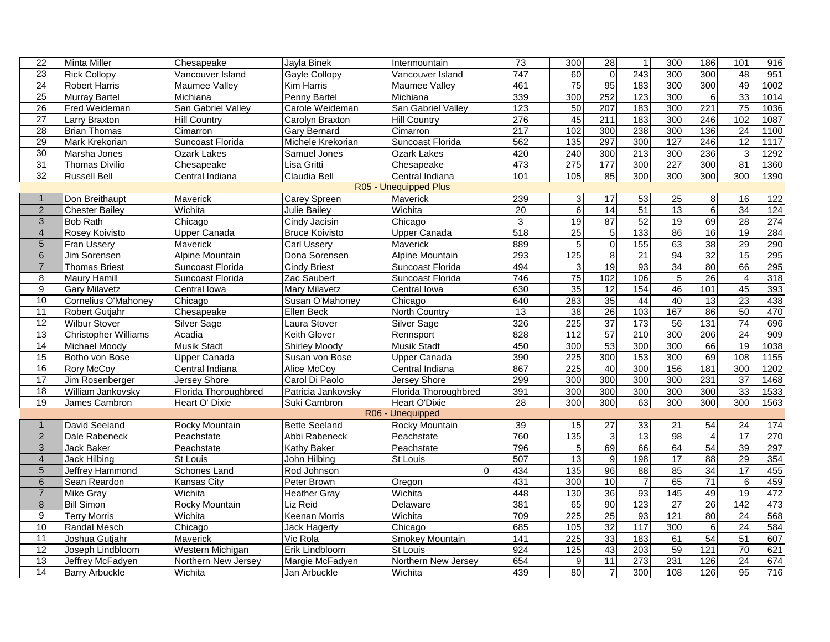| 22                    | Minta Miller                | Chesapeake           | Jayla Binek           | Intermountain        | 73              | 300               | 28              | $\mathbf{1}$     | 300             | 186                     | 101             | 916              |
|-----------------------|-----------------------------|----------------------|-----------------------|----------------------|-----------------|-------------------|-----------------|------------------|-----------------|-------------------------|-----------------|------------------|
| $\overline{23}$       | <b>Rick Collopy</b>         | Vancouver Island     | Gayle Collopy         | Vancouver Island     | 747             | 60                | $\overline{0}$  | 243              | 300             | 300                     | $\overline{48}$ | 951              |
| $\overline{24}$       | <b>Robert Harris</b>        | Maumee Vallev        | <b>Kim Harris</b>     | Maumee Vallev        | 461             | $\overline{75}$   | 95              | 183              | 300             | 300                     | 49              | 1002             |
| $\overline{25}$       | Murray Bartel               | Michiana             | Penny Bartel          | Michiana             | 339             | 300               | 252             | 123              | 300             | 6                       | 33              | 1014             |
| 26                    | Fred Weideman               | San Gabriel Valley   | Carole Weideman       | San Gabriel Valley   | 123             | $\overline{50}$   | 207             | $\frac{1}{183}$  | 300             | $\overline{221}$        | 75              | 1036             |
| $\overline{27}$       | Larry Braxton               | Hill Country         | Carolyn Braxton       | <b>Hill Country</b>  | 276             | 45                | 211             | 183              | 300             | 246                     | 102             | 1087             |
| $\overline{28}$       | <b>Brian Thomas</b>         | Cimarron             | <b>Gary Bernard</b>   | Cimarron             | 217             | 102               | 300             | 238              | 300             | 136                     | 24              | 1100             |
| 29                    | Mark Krekorian              | Suncoast Florida     | Michele Krekorian     | Suncoast Florida     | 562             | $\overline{135}$  | 297             | 300              | 127             | 246                     | $\overline{12}$ | 1117             |
| 30                    | Marsha Jones                | <b>Ozark Lakes</b>   | Samuel Jones          | <b>Ozark Lakes</b>   | 420             | 240               | 300             | $\overline{213}$ | 300             | 236                     | $\mathbf{3}$    | 1292             |
| 31                    | Thomas Divilio              | Chesapeake           | Lisa Gritti           | Chesapeake           | 473             | $\overline{275}$  | 177             | 300              | 227             | 300                     | $\overline{81}$ | 1360             |
| $\overline{32}$       | <b>Russell Bell</b>         | Central Indiana      | Claudia Bell          | Central Indiana      | 101             | 105               | 85              | 300              | 300             | 300                     | 300             | 1390             |
| R05 - Unequipped Plus |                             |                      |                       |                      |                 |                   |                 |                  |                 |                         |                 |                  |
| $\mathbf{1}$          | Don Breithaupt              | Maverick             | Carey Spreen          | Maverick             | 239             | 3                 | 17              | 53               | 25              | $\bf 8$                 | 16              | 122              |
| $\overline{2}$        | <b>Chester Bailey</b>       | Wichita              | <b>Julie Bailey</b>   | Wichita              | $\overline{20}$ | $\overline{6}$    | 14              | 51               | 13              | 6                       | 34              | $\overline{124}$ |
| $\sqrt{3}$            | <b>Bob Rath</b>             | Chicago              | Cindy Jacisin         | Chicago              | 3               | 19                | 87              | 52               | 19              | 69                      | $\overline{28}$ | 274              |
| $\overline{4}$        | Rosey Koivisto              | <b>Upper Canada</b>  | <b>Bruce Koivisto</b> | <b>Upper Canada</b>  | 518             | $\overline{25}$   | $\overline{5}$  | 133              | 86              | 16                      | 19              | 284              |
| $\overline{5}$        | Fran Ussery                 | Maverick             | <b>Carl Ussery</b>    | Maverick             | 889             | 5                 | $\overline{0}$  | 155              | 63              | 38                      | 29              | 290              |
| 6                     | Jim Sorensen                | Alpine Mountain      | Dona Sorensen         | Alpine Mountain      | 293             | 125               | 8 <sup>1</sup>  | 21               | 94              | 32                      | 15              | 295              |
| $\overline{7}$        | <b>Thomas Briest</b>        | Suncoast Florida     | <b>Cindy Briest</b>   | Suncoast Florida     | 494             | $\mathfrak{3}$    | 19              | 93               | 34              | 80                      | 66              | 295              |
| $\overline{8}$        | <b>Maury Hamill</b>         | Suncoast Florida     | Zac Saubert           | Suncoast Florida     | 746             | 75                | 102             | 106              | 5               | 26                      | $\overline{4}$  | 318              |
| $\overline{9}$        | Gary Milavetz               | Central Iowa         | <b>Mary Milavetz</b>  | Central Iowa         | 630             | 35                | 12              | 154              | 46              | 101                     | 45              | 393              |
| 10                    | Cornelius O'Mahoney         | Chicago              | Susan O'Mahoney       | Chicago              | 640             | 283               | $\frac{33}{5}$  | 44               | 40              | 13                      | $\overline{23}$ | 438              |
| 11                    | <b>Robert Gutjahr</b>       | Chesapeake           | Ellen Beck            | <b>North Country</b> | 13              | 38                | 26              | 103              | 167             | 86                      | 50              | 470              |
| $\overline{12}$       | <b>Wilbur Stover</b>        | Silver Sage          | Laura Stover          | Silver Sage          | 326             | 225               | $\overline{37}$ | 173              | 56              | $\overline{131}$        | 74              | 696              |
| 13                    | <b>Christopher Williams</b> | Acadia               | <b>Keith Glover</b>   | Rennsport            | 828             | 112               | 57              | 210              | 300             | 206                     | 24              | 909              |
| 14                    | Michael Moody               | <b>Musik Stadt</b>   | <b>Shirley Moody</b>  | <b>Musik Stadt</b>   | 450             | 300               | 53              | 300              | 300             | 66                      | $\overline{19}$ | 1038             |
| 15                    | Botho von Bose              | <b>Upper Canada</b>  | Susan von Bose        | <b>Upper Canada</b>  | 390             | 225               | 300             | 153              | 300             | 69                      | 108             | 1155             |
| 16                    | <b>Rory McCoy</b>           | Central Indiana      | Alice McCoy           | Central Indiana      | 867             | $\overline{225}$  | 40              | 300              | 156             | 181                     | 300             | 1202             |
| $\overline{17}$       | Jim Rosenberger             | Jersey Shore         | Carol Di Paolo        | Jersey Shore         | 299             | 300               | 300             | 300              | 300             | 231                     | $\overline{37}$ | 1468             |
| 18                    | William Jankovsky           | Florida Thoroughbred | Patricia Jankovsky    | Florida Thoroughbred | 391             | 300               | 300             | 300              | 300             | 300                     | 33              | 1533             |
| 19                    | James Cambron               | Heart O' Dixie       | Suki Cambron          | Heart O'Dixie        | $\overline{28}$ | 300               | 300             | 63               | 300             | 300                     | 300             | 1563             |
|                       |                             |                      |                       | R06 - Unequipped     |                 |                   |                 |                  |                 |                         |                 |                  |
| $\mathbf{1}$          | David Seeland               | Rocky Mountain       | <b>Bette Seeland</b>  | Rocky Mountain       | 39              | 15                | $\overline{27}$ | 33               | 21              | 54                      | 24              | 174              |
| $\sqrt{2}$            | Dale Rabeneck               | Peachstate           | Abbi Rabeneck         | Peachstate           | 760             | 135               | 3               | 13               | 98              | $\overline{\mathbf{4}}$ | $\overline{17}$ | 270              |
| 3                     | Jack Baker                  | Peachstate           | <b>Kathy Baker</b>    | Peachstate           | 796             | $\mathbf 5$       | 69              | 66               | 64              | 54                      | 39              | 297              |
| $\overline{4}$        | Jack Hilbing                | <b>St Louis</b>      | John Hilbing          | St Louis             | 507             | 13                | $\overline{9}$  | 198              | $\overline{17}$ | $\overline{88}$         | 29              | 354              |
| $5\phantom{.}$        | Jeffrey Hammond             | Schones Land         | Rod Johnson           | $\Omega$             | 434             | 135               | 96              | 88               | 85              | 34                      | 17              | 455              |
| $\,6$                 | Sean Reardon                | <b>Kansas City</b>   | Peter Brown           | Oregon               | 431             | 300               | 10              | $\overline{7}$   | 65              | $\overline{71}$         | 6               | 459              |
| $\overline{7}$        | Mike Gray                   | Wichita              | <b>Heather Gray</b>   | Wichita              | 448             | 130               | 36              | 93               | 145             | 49                      | 19              | 472              |
| $\bf 8$               | <b>Bill Simon</b>           | Rocky Mountain       | Liz Reid              | Delaware             | 381             | 65                | 90              | 123              | $\overline{27}$ | 26                      | 142             | 473              |
| $\overline{9}$        | <b>Terry Morris</b>         | Wichita              | <b>Keenan Morris</b>  | Wichita              | 709             | 225               | 25              | 93               | 121             | 80                      | 24              | 568              |
| 10                    | Randal Mesch                | Chicago              | Jack Hagerty          | Chicago              | 685             | $\frac{105}{105}$ | 32              | 117              | 300             | $\overline{6}$          | 24              | 584              |
| $\overline{11}$       | Joshua Gutjahr              | Maverick             | Vic Rola              | Smokey Mountain      | 141             | 225               | 33              | 183              | 61              | 54                      | 51              | 607              |
| $\overline{12}$       | Joseph Lindbloom            | Western Michigan     | Erik Lindbloom        | St Louis             | 924             | 125               | 43              | 203              | 59              | $\overline{121}$        | 70              | 621              |
| 13                    | Jeffrey McFadyen            | Northern New Jersey  | Margie McFadyen       | Northern New Jersey  | 654             | $\overline{9}$    | $\overline{11}$ | 273              | 231             | 126                     | $\overline{24}$ | 674              |
| 14                    | <b>Barry Arbuckle</b>       | Wichita              | Jan Arbuckle          | Wichita              | 439             | 80                | $\overline{7}$  | 300              | 108             | 126                     | 95              | 716              |
|                       |                             |                      |                       |                      |                 |                   |                 |                  |                 |                         |                 |                  |